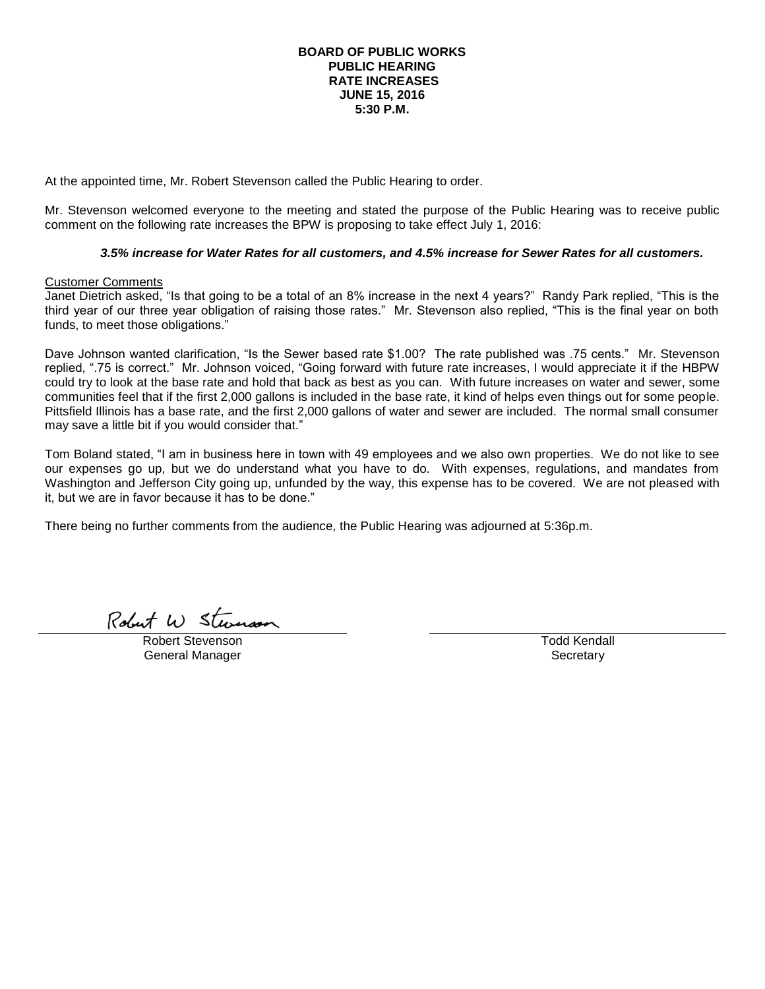### **BOARD OF PUBLIC WORKS PUBLIC HEARING RATE INCREASES JUNE 15, 2016 5:30 P.M.**

At the appointed time, Mr. Robert Stevenson called the Public Hearing to order.

Mr. Stevenson welcomed everyone to the meeting and stated the purpose of the Public Hearing was to receive public comment on the following rate increases the BPW is proposing to take effect July 1, 2016:

# *3.5% increase for Water Rates for all customers, and 4.5% increase for Sewer Rates for all customers.*

## Customer Comments

Janet Dietrich asked, "Is that going to be a total of an 8% increase in the next 4 years?" Randy Park replied, "This is the third year of our three year obligation of raising those rates." Mr. Stevenson also replied, "This is the final year on both funds, to meet those obligations."

Dave Johnson wanted clarification, "Is the Sewer based rate \$1.00? The rate published was .75 cents." Mr. Stevenson replied, ".75 is correct." Mr. Johnson voiced, "Going forward with future rate increases, I would appreciate it if the HBPW could try to look at the base rate and hold that back as best as you can. With future increases on water and sewer, some communities feel that if the first 2,000 gallons is included in the base rate, it kind of helps even things out for some people. Pittsfield Illinois has a base rate, and the first 2,000 gallons of water and sewer are included. The normal small consumer may save a little bit if you would consider that."

Tom Boland stated, "I am in business here in town with 49 employees and we also own properties. We do not like to see our expenses go up, but we do understand what you have to do. With expenses, regulations, and mandates from Washington and Jefferson City going up, unfunded by the way, this expense has to be covered. We are not pleased with it, but we are in favor because it has to be done."

There being no further comments from the audience, the Public Hearing was adjourned at 5:36p.m.

Robert W Stevenson

Robert Stevenson General Manager

Todd Kendall **Secretary**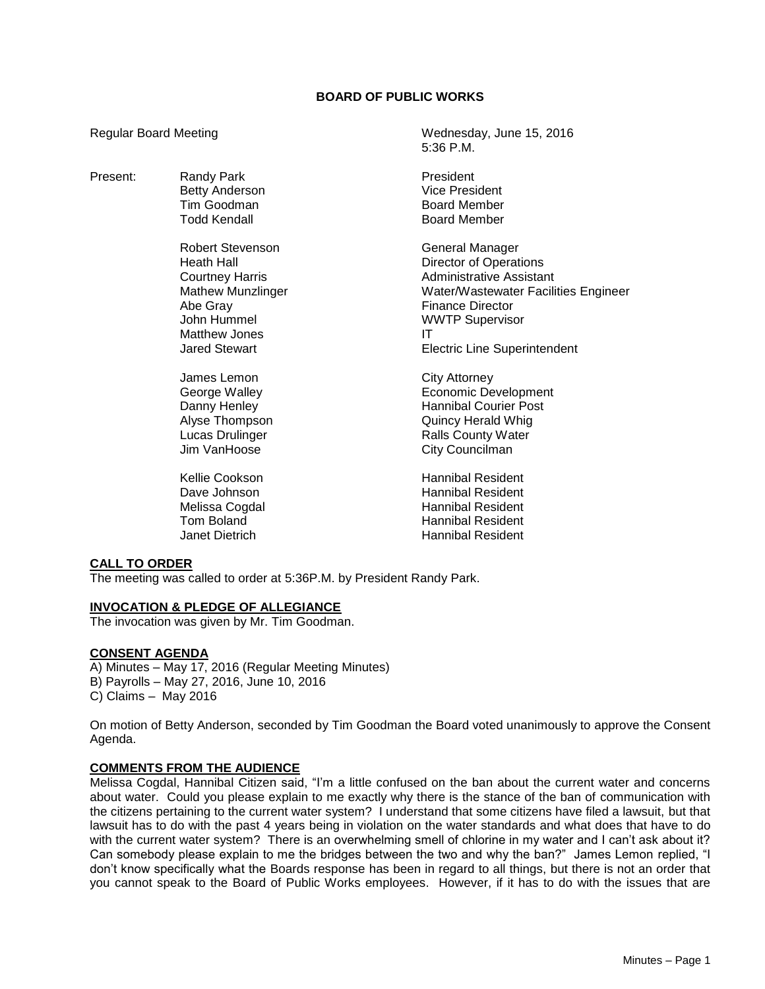# **BOARD OF PUBLIC WORKS**

5:36 P.M.

Regular Board Meeting Manuscription Control of Media Wednesday, June 15, 2016

| Present: | Randy Park<br><b>Betty Anderson</b><br>Tim Goodman<br><b>Todd Kendall</b>                                                                                | President<br>Vice President<br><b>Board Member</b><br><b>Board Member</b>                                                                                                                                              |
|----------|----------------------------------------------------------------------------------------------------------------------------------------------------------|------------------------------------------------------------------------------------------------------------------------------------------------------------------------------------------------------------------------|
|          | Robert Stevenson<br>Heath Hall<br><b>Courtney Harris</b><br><b>Mathew Munzlinger</b><br>Abe Gray<br>John Hummel<br>Matthew Jones<br><b>Jared Stewart</b> | General Manager<br><b>Director of Operations</b><br>Administrative Assistant<br>Water/Wastewater Facilities Engineer<br><b>Finance Director</b><br><b>WWTP Supervisor</b><br>ΙT<br><b>Electric Line Superintendent</b> |
|          | James Lemon<br>George Walley<br>Danny Henley<br>Alyse Thompson<br>Lucas Drulinger<br>Jim VanHoose                                                        | <b>City Attorney</b><br><b>Economic Development</b><br><b>Hannibal Courier Post</b><br><b>Quincy Herald Whig</b><br><b>Ralls County Water</b><br>City Councilman                                                       |
|          | Kellie Cookson<br>Dave Johnson<br>Melissa Cogdal<br>Tom Boland<br><b>Janet Dietrich</b>                                                                  | <b>Hannibal Resident</b><br>Hannibal Resident<br>Hannibal Resident<br><b>Hannibal Resident</b><br>Hannibal Resident                                                                                                    |

## **CALL TO ORDER**

The meeting was called to order at 5:36P.M. by President Randy Park.

#### **INVOCATION & PLEDGE OF ALLEGIANCE**

The invocation was given by Mr. Tim Goodman.

#### **CONSENT AGENDA**

A) Minutes – May 17, 2016 (Regular Meeting Minutes) B) Payrolls – May 27, 2016, June 10, 2016 C) Claims – May 2016

On motion of Betty Anderson, seconded by Tim Goodman the Board voted unanimously to approve the Consent Agenda.

## **COMMENTS FROM THE AUDIENCE**

Melissa Cogdal, Hannibal Citizen said, "I'm a little confused on the ban about the current water and concerns about water. Could you please explain to me exactly why there is the stance of the ban of communication with the citizens pertaining to the current water system? I understand that some citizens have filed a lawsuit, but that lawsuit has to do with the past 4 years being in violation on the water standards and what does that have to do with the current water system? There is an overwhelming smell of chlorine in my water and I can't ask about it? Can somebody please explain to me the bridges between the two and why the ban?" James Lemon replied, "I don't know specifically what the Boards response has been in regard to all things, but there is not an order that you cannot speak to the Board of Public Works employees. However, if it has to do with the issues that are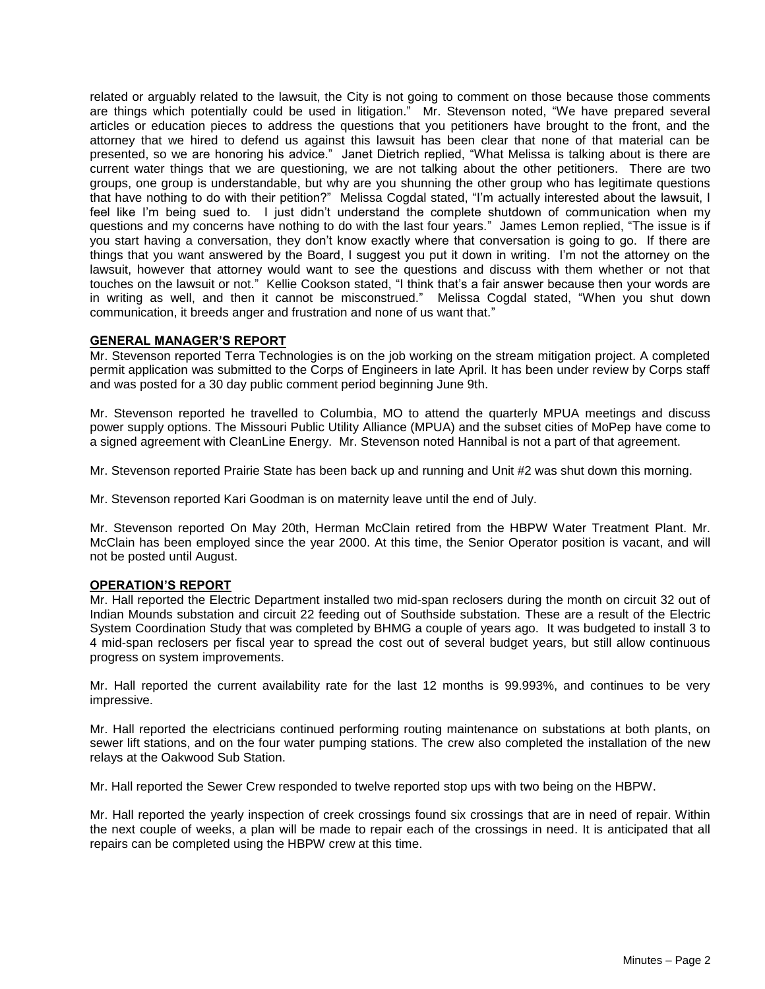related or arguably related to the lawsuit, the City is not going to comment on those because those comments are things which potentially could be used in litigation." Mr. Stevenson noted, "We have prepared several articles or education pieces to address the questions that you petitioners have brought to the front, and the attorney that we hired to defend us against this lawsuit has been clear that none of that material can be presented, so we are honoring his advice." Janet Dietrich replied, "What Melissa is talking about is there are current water things that we are questioning, we are not talking about the other petitioners. There are two groups, one group is understandable, but why are you shunning the other group who has legitimate questions that have nothing to do with their petition?" Melissa Cogdal stated, "I'm actually interested about the lawsuit, I feel like I'm being sued to. I just didn't understand the complete shutdown of communication when my questions and my concerns have nothing to do with the last four years." James Lemon replied, "The issue is if you start having a conversation, they don't know exactly where that conversation is going to go. If there are things that you want answered by the Board, I suggest you put it down in writing. I'm not the attorney on the lawsuit, however that attorney would want to see the questions and discuss with them whether or not that touches on the lawsuit or not." Kellie Cookson stated, "I think that's a fair answer because then your words are in writing as well, and then it cannot be misconstrued." Melissa Cogdal stated, "When you shut down communication, it breeds anger and frustration and none of us want that."

#### **GENERAL MANAGER'S REPORT**

Mr. Stevenson reported Terra Technologies is on the job working on the stream mitigation project. A completed permit application was submitted to the Corps of Engineers in late April. It has been under review by Corps staff and was posted for a 30 day public comment period beginning June 9th.

Mr. Stevenson reported he travelled to Columbia, MO to attend the quarterly MPUA meetings and discuss power supply options. The Missouri Public Utility Alliance (MPUA) and the subset cities of MoPep have come to a signed agreement with CleanLine Energy. Mr. Stevenson noted Hannibal is not a part of that agreement.

Mr. Stevenson reported Prairie State has been back up and running and Unit #2 was shut down this morning.

Mr. Stevenson reported Kari Goodman is on maternity leave until the end of July.

Mr. Stevenson reported On May 20th, Herman McClain retired from the HBPW Water Treatment Plant. Mr. McClain has been employed since the year 2000. At this time, the Senior Operator position is vacant, and will not be posted until August.

## **OPERATION'S REPORT**

Mr. Hall reported the Electric Department installed two mid-span reclosers during the month on circuit 32 out of Indian Mounds substation and circuit 22 feeding out of Southside substation. These are a result of the Electric System Coordination Study that was completed by BHMG a couple of years ago. It was budgeted to install 3 to 4 mid-span reclosers per fiscal year to spread the cost out of several budget years, but still allow continuous progress on system improvements.

Mr. Hall reported the current availability rate for the last 12 months is 99.993%, and continues to be very impressive.

Mr. Hall reported the electricians continued performing routing maintenance on substations at both plants, on sewer lift stations, and on the four water pumping stations. The crew also completed the installation of the new relays at the Oakwood Sub Station.

Mr. Hall reported the Sewer Crew responded to twelve reported stop ups with two being on the HBPW.

Mr. Hall reported the yearly inspection of creek crossings found six crossings that are in need of repair. Within the next couple of weeks, a plan will be made to repair each of the crossings in need. It is anticipated that all repairs can be completed using the HBPW crew at this time.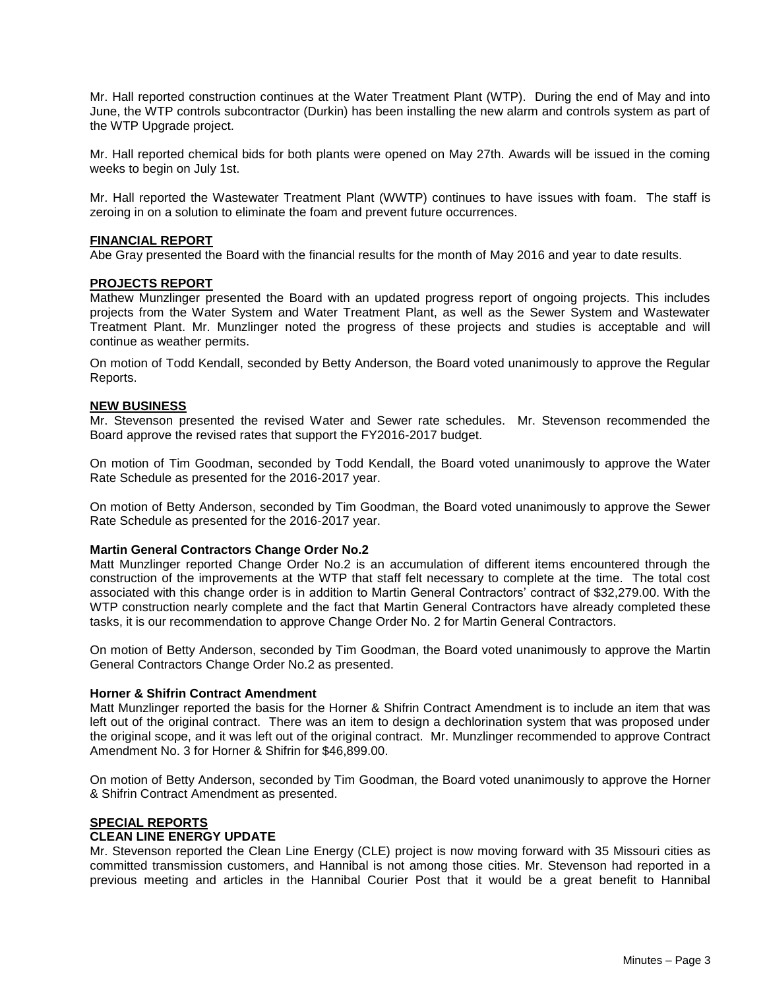Mr. Hall reported construction continues at the Water Treatment Plant (WTP). During the end of May and into June, the WTP controls subcontractor (Durkin) has been installing the new alarm and controls system as part of the WTP Upgrade project.

Mr. Hall reported chemical bids for both plants were opened on May 27th. Awards will be issued in the coming weeks to begin on July 1st.

Mr. Hall reported the Wastewater Treatment Plant (WWTP) continues to have issues with foam. The staff is zeroing in on a solution to eliminate the foam and prevent future occurrences.

#### **FINANCIAL REPORT**

Abe Gray presented the Board with the financial results for the month of May 2016 and year to date results.

#### **PROJECTS REPORT**

Mathew Munzlinger presented the Board with an updated progress report of ongoing projects. This includes projects from the Water System and Water Treatment Plant, as well as the Sewer System and Wastewater Treatment Plant. Mr. Munzlinger noted the progress of these projects and studies is acceptable and will continue as weather permits.

On motion of Todd Kendall, seconded by Betty Anderson, the Board voted unanimously to approve the Regular Reports.

#### **NEW BUSINESS**

Mr. Stevenson presented the revised Water and Sewer rate schedules. Mr. Stevenson recommended the Board approve the revised rates that support the FY2016-2017 budget.

On motion of Tim Goodman, seconded by Todd Kendall, the Board voted unanimously to approve the Water Rate Schedule as presented for the 2016-2017 year.

On motion of Betty Anderson, seconded by Tim Goodman, the Board voted unanimously to approve the Sewer Rate Schedule as presented for the 2016-2017 year.

#### **Martin General Contractors Change Order No.2**

Matt Munzlinger reported Change Order No.2 is an accumulation of different items encountered through the construction of the improvements at the WTP that staff felt necessary to complete at the time. The total cost associated with this change order is in addition to Martin General Contractors' contract of \$32,279.00. With the WTP construction nearly complete and the fact that Martin General Contractors have already completed these tasks, it is our recommendation to approve Change Order No. 2 for Martin General Contractors.

On motion of Betty Anderson, seconded by Tim Goodman, the Board voted unanimously to approve the Martin General Contractors Change Order No.2 as presented.

### **Horner & Shifrin Contract Amendment**

Matt Munzlinger reported the basis for the Horner & Shifrin Contract Amendment is to include an item that was left out of the original contract. There was an item to design a dechlorination system that was proposed under the original scope, and it was left out of the original contract. Mr. Munzlinger recommended to approve Contract Amendment No. 3 for Horner & Shifrin for \$46,899.00.

On motion of Betty Anderson, seconded by Tim Goodman, the Board voted unanimously to approve the Horner & Shifrin Contract Amendment as presented.

#### **SPECIAL REPORTS CLEAN LINE ENERGY UPDATE**

Mr. Stevenson reported the Clean Line Energy (CLE) project is now moving forward with 35 Missouri cities as committed transmission customers, and Hannibal is not among those cities. Mr. Stevenson had reported in a previous meeting and articles in the Hannibal Courier Post that it would be a great benefit to Hannibal